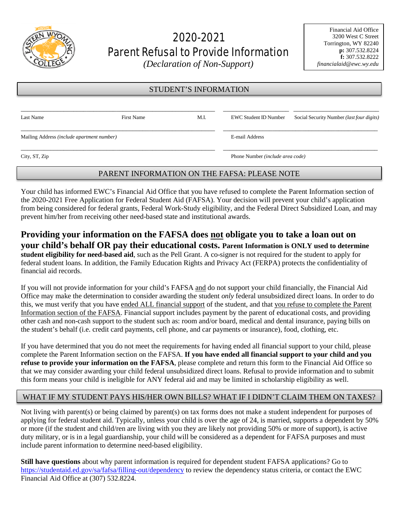

# 2020-2021 Parent Refusal to Provide Information

*(Declaration of Non-Support)* 

#### STUDENT'S INFORMATION

| Last Name                                  | First Name | M.I.                                    | EWC Student ID Number | Social Security Number ( <i>last four digits</i> ) |
|--------------------------------------------|------------|-----------------------------------------|-----------------------|----------------------------------------------------|
| Mailing Address (include apartment number) |            |                                         | E-mail Address        |                                                    |
| City, ST, Zip                              |            | Phone Number <i>(include area code)</i> |                       |                                                    |

#### PARENT INFORMATION ON THE FAFSA: PLEASE NOTE

Your child has informed EWC's Financial Aid Office that you have refused to complete the Parent Information section of the 2020-2021 Free Application for Federal Student Aid (FAFSA). Your decision will prevent your child's application from being considered for federal grants, Federal Work-Study eligibility, and the Federal Direct Subsidized Loan, and may prevent him/her from receiving other need-based state and institutional awards.

#### **Providing your information on the FAFSA does not obligate you to take a loan out on your child's behalf OR pay their educational costs. Parent Information is ONLY used to determine student eligibility for need-based aid**, such as the Pell Grant. A co-signer is not required for the student to apply for federal student loans. In addition, the Family Education Rights and Privacy Act (FERPA) protects the confidentiality of financial aid records.

If you will not provide information for your child's FAFSA and do not support your child financially, the Financial Aid Office may make the determination to consider awarding the student *only* federal unsubsidized direct loans. In order to do this, we must verify that you have ended ALL financial support of the student, and that you refuse to complete the Parent Information section of the FAFSA. Financial support includes payment by the parent of educational costs, and providing other cash and non-cash support to the student such as: room and/or board, medical and dental insurance, paying bills on the student's behalf (i.e. credit card payments, cell phone, and car payments or insurance), food, clothing, etc.

If you have determined that you do not meet the requirements for having ended all financial support to your child, please complete the Parent Information section on the FAFSA. **If you have ended all financial support to your child and you refuse to provide your information on the FAFSA**, please complete and return this form to the Financial Aid Office so that we may consider awarding your child federal unsubsidized direct loans. Refusal to provide information and to submit this form means your child is ineligible for ANY federal aid and may be limited in scholarship eligibility as well.

### WHAT IF MY STUDENT PAYS HIS/HER OWN BILLS? WHAT IF I DIDN'T CLAIM THEM ON TAXES?

Not living with parent(s) or being claimed by parent(s) on tax forms does not make a student independent for purposes of applying for federal student aid. Typically, unless your child is over the age of 24, is married, supports a dependent by 50% or more (if the student and child/ren are living with you they are likely not providing 50% or more of support), is active duty military, or is in a legal guardianship, your child will be considered as a dependent for FAFSA purposes and must include parent information to determine need-based eligibility.

**Still have questions** about why parent information is required for dependent student FAFSA applications? Go to <https://studentaid.ed.gov/sa/fafsa/filling-out/dependency> to review the dependency status criteria, or contact the EWC Financial Aid Office at (307) 532.8224.